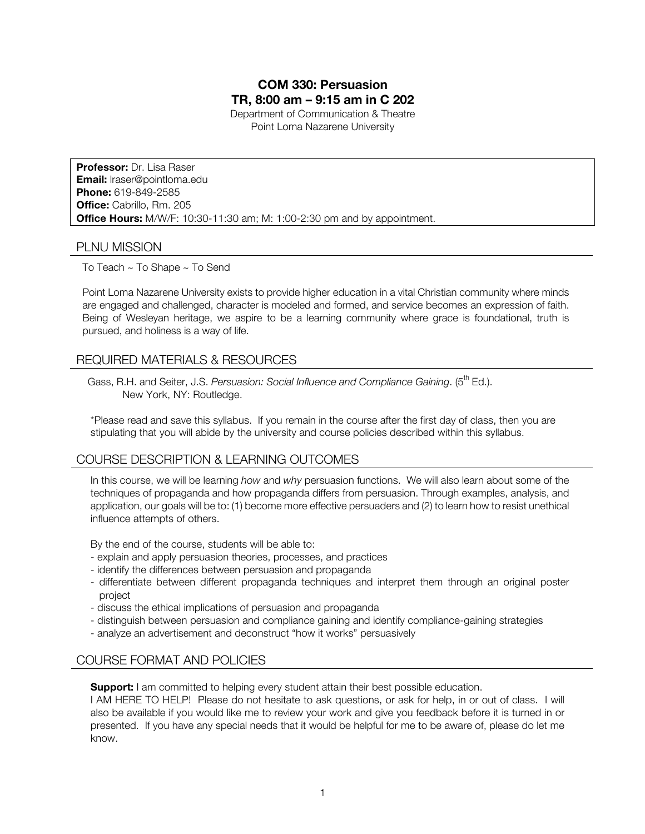# **COM 330: Persuasion TR, 8:00 am – 9:15 am in C 202**

Department of Communication & Theatre Point Loma Nazarene University

**Professor:** Dr. Lisa Raser **Email:** lraser@pointloma.edu **Phone:** 619-849-2585 **Office:** Cabrillo, Rm. 205 **Office Hours:** M/W/F: 10:30-11:30 am; M: 1:00-2:30 pm and by appointment.

## PLNU MISSION

To Teach ~ To Shape ~ To Send

Point Loma Nazarene University exists to provide higher education in a vital Christian community where minds are engaged and challenged, character is modeled and formed, and service becomes an expression of faith. Being of Wesleyan heritage, we aspire to be a learning community where grace is foundational, truth is pursued, and holiness is a way of life.

# REQUIRED MATERIALS & RESOURCES

Gass, R.H. and Seiter, J.S. *Persuasion: Social Influence and Compliance Gaining.* (5<sup>th</sup> Ed.). New York, NY: Routledge.

\*Please read and save this syllabus. If you remain in the course after the first day of class, then you are stipulating that you will abide by the university and course policies described within this syllabus.

# COURSE DESCRIPTION & LEARNING OUTCOMES

In this course, we will be learning *how* and *why* persuasion functions. We will also learn about some of the techniques of propaganda and how propaganda differs from persuasion. Through examples, analysis, and application, our goals will be to: (1) become more effective persuaders and (2) to learn how to resist unethical influence attempts of others.

By the end of the course, students will be able to:

- explain and apply persuasion theories, processes, and practices
- identify the differences between persuasion and propaganda
- differentiate between different propaganda techniques and interpret them through an original poster project
- discuss the ethical implications of persuasion and propaganda
- distinguish between persuasion and compliance gaining and identify compliance-gaining strategies
- analyze an advertisement and deconstruct "how it works" persuasively

## COURSE FORMAT AND POLICIES

**Support:** I am committed to helping every student attain their best possible education.

I AM HERE TO HELP! Please do not hesitate to ask questions, or ask for help, in or out of class. I will also be available if you would like me to review your work and give you feedback before it is turned in or presented. If you have any special needs that it would be helpful for me to be aware of, please do let me know.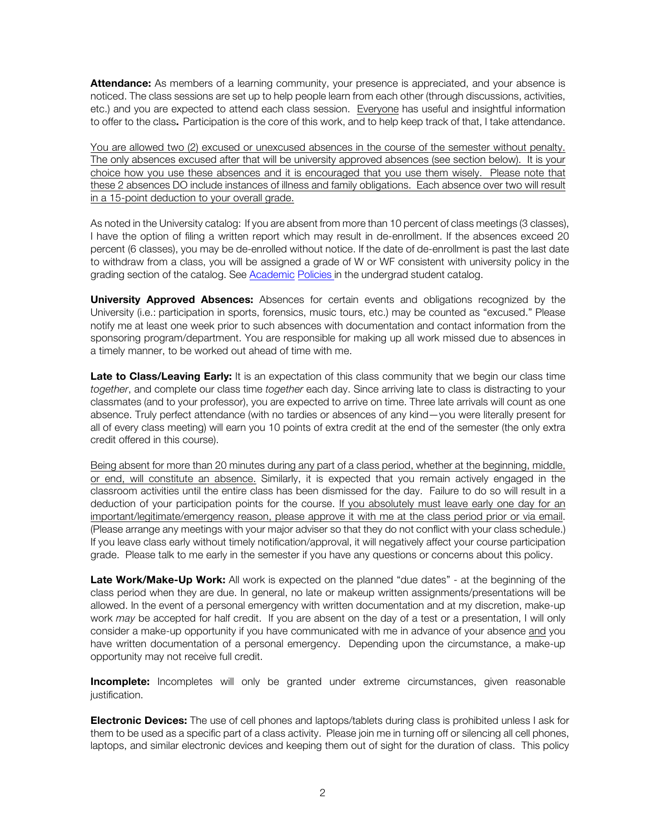**Attendance:** As members of a learning community, your presence is appreciated, and your absence is noticed. The class sessions are set up to help people learn from each other (through discussions, activities, etc.) and you are expected to attend each class session. Everyone has useful and insightful information to offer to the class. Participation is the core of this work, and to help keep track of that, I take attendance.

You are allowed two (2) excused or unexcused absences in the course of the semester without penalty. The only absences excused after that will be university approved absences (see section below). It is your choice how you use these absences and it is encouraged that you use them wisely. Please note that these 2 absences DO include instances of illness and family obligations. Each absence over two will result in a 15-point deduction to your overall grade.

As noted in the University catalog: If you are absent from more than 10 percent of class meetings (3 classes), I have the option of filing a written report which may result in de-enrollment. If the absences exceed 20 percent (6 classes), you may be de-enrolled without notice. If the date of de-enrollment is past the last date to withdraw from a class, you will be assigned a grade of W or WF consistent with university policy in the grading section of the catalog. See Academic Policies in the undergrad student catalog.

**University Approved Absences:** Absences for certain events and obligations recognized by the University (i.e.: participation in sports, forensics, music tours, etc.) may be counted as "excused." Please notify me at least one week prior to such absences with documentation and contact information from the sponsoring program/department. You are responsible for making up all work missed due to absences in a timely manner, to be worked out ahead of time with me.

Late to Class/Leaving Early: It is an expectation of this class community that we begin our class time *together*, and complete our class time *together* each day. Since arriving late to class is distracting to your classmates (and to your professor), you are expected to arrive on time. Three late arrivals will count as one absence. Truly perfect attendance (with no tardies or absences of any kind—you were literally present for all of every class meeting) will earn you 10 points of extra credit at the end of the semester (the only extra credit offered in this course).

Being absent for more than 20 minutes during any part of a class period, whether at the beginning, middle, or end, will constitute an absence. Similarly, it is expected that you remain actively engaged in the classroom activities until the entire class has been dismissed for the day. Failure to do so will result in a deduction of your participation points for the course. If you absolutely must leave early one day for an important/legitimate/emergency reason, please approve it with me at the class period prior or via email. (Please arrange any meetings with your major adviser so that they do not conflict with your class schedule.) If you leave class early without timely notification/approval, it will negatively affect your course participation grade. Please talk to me early in the semester if you have any questions or concerns about this policy.

**Late Work/Make-Up Work:** All work is expected on the planned "due dates" - at the beginning of the class period when they are due. In general, no late or makeup written assignments/presentations will be allowed. In the event of a personal emergency with written documentation and at my discretion, make-up work *may* be accepted for half credit. If you are absent on the day of a test or a presentation, I will only consider a make-up opportunity if you have communicated with me in advance of your absence and you have written documentation of a personal emergency. Depending upon the circumstance, a make-up opportunity may not receive full credit.

**Incomplete:** Incompletes will only be granted under extreme circumstances, given reasonable justification.

**Electronic Devices:** The use of cell phones and laptops/tablets during class is prohibited unless I ask for them to be used as a specific part of a class activity. Please join me in turning off or silencing all cell phones, laptops, and similar electronic devices and keeping them out of sight for the duration of class. This policy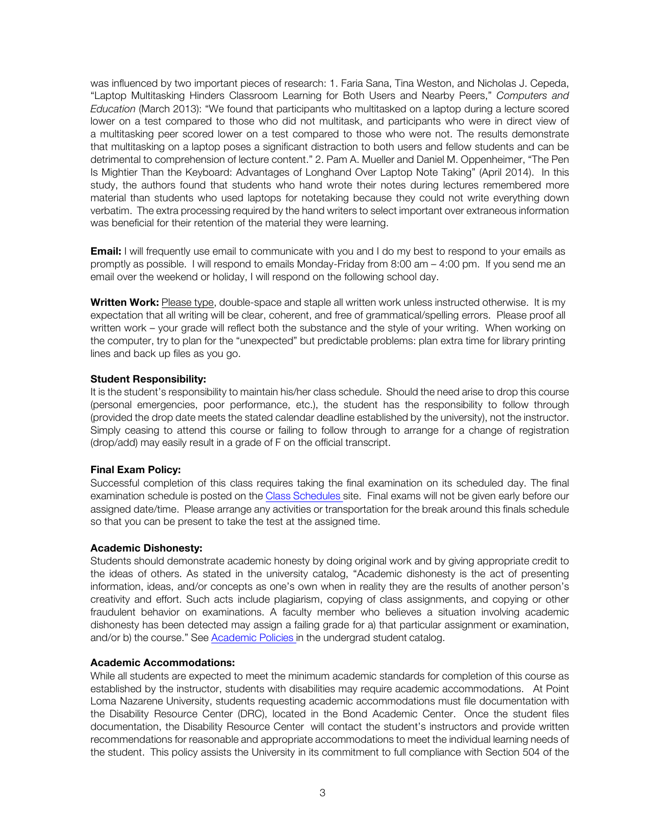was influenced by two important pieces of research: 1. Faria Sana, Tina Weston, and Nicholas J. Cepeda, "Laptop Multitasking Hinders Classroom Learning for Both Users and Nearby Peers," *Computers and Education* (March 2013): "We found that participants who multitasked on a laptop during a lecture scored lower on a test compared to those who did not multitask, and participants who were in direct view of a multitasking peer scored lower on a test compared to those who were not. The results demonstrate that multitasking on a laptop poses a significant distraction to both users and fellow students and can be detrimental to comprehension of lecture content." 2. Pam A. Mueller and Daniel M. Oppenheimer, "The Pen Is Mightier Than the Keyboard: Advantages of Longhand Over Laptop Note Taking" (April 2014). In this study, the authors found that students who hand wrote their notes during lectures remembered more material than students who used laptops for notetaking because they could not write everything down verbatim. The extra processing required by the hand writers to select important over extraneous information was beneficial for their retention of the material they were learning.

**Email:** I will frequently use email to communicate with you and I do my best to respond to your emails as promptly as possible. I will respond to emails Monday-Friday from 8:00 am – 4:00 pm. If you send me an email over the weekend or holiday, I will respond on the following school day.

**Written Work:** Please type, double-space and staple all written work unless instructed otherwise.It is my expectation that all writing will be clear, coherent, and free of grammatical/spelling errors. Please proof all written work – your grade will reflect both the substance and the style of your writing. When working on the computer, try to plan for the "unexpected" but predictable problems: plan extra time for library printing lines and back up files as you go.

#### **Student Responsibility:**

It is the student's responsibility to maintain his/her class schedule. Should the need arise to drop this course (personal emergencies, poor performance, etc.), the student has the responsibility to follow through (provided the drop date meets the stated calendar deadline established by the university), not the instructor. Simply ceasing to attend this course or failing to follow through to arrange for a change of registration (drop/add) may easily result in a grade of F on the official transcript.

#### **Final Exam Policy:**

Successful completion of this class requires taking the final examination on its scheduled day. The final examination schedule is posted on the Class Schedules site. Final exams will not be given early before our assigned date/time. Please arrange any activities or transportation for the break around this finals schedule so that you can be present to take the test at the assigned time.

#### **Academic Dishonesty:**

Students should demonstrate academic honesty by doing original work and by giving appropriate credit to the ideas of others. As stated in the university catalog, "Academic dishonesty is the act of presenting information, ideas, and/or concepts as one's own when in reality they are the results of another person's creativity and effort. Such acts include plagiarism, copying of class assignments, and copying or other fraudulent behavior on examinations. A faculty member who believes a situation involving academic dishonesty has been detected may assign a failing grade for a) that particular assignment or examination, and/or b) the course." See Academic Policies in the undergrad student catalog.

#### **Academic Accommodations:**

While all students are expected to meet the minimum academic standards for completion of this course as established by the instructor, students with disabilities may require academic accommodations. At Point Loma Nazarene University, students requesting academic accommodations must file documentation with the Disability Resource Center (DRC), located in the Bond Academic Center. Once the student files documentation, the Disability Resource Center will contact the student's instructors and provide written recommendations for reasonable and appropriate accommodations to meet the individual learning needs of the student. This policy assists the University in its commitment to full compliance with Section 504 of the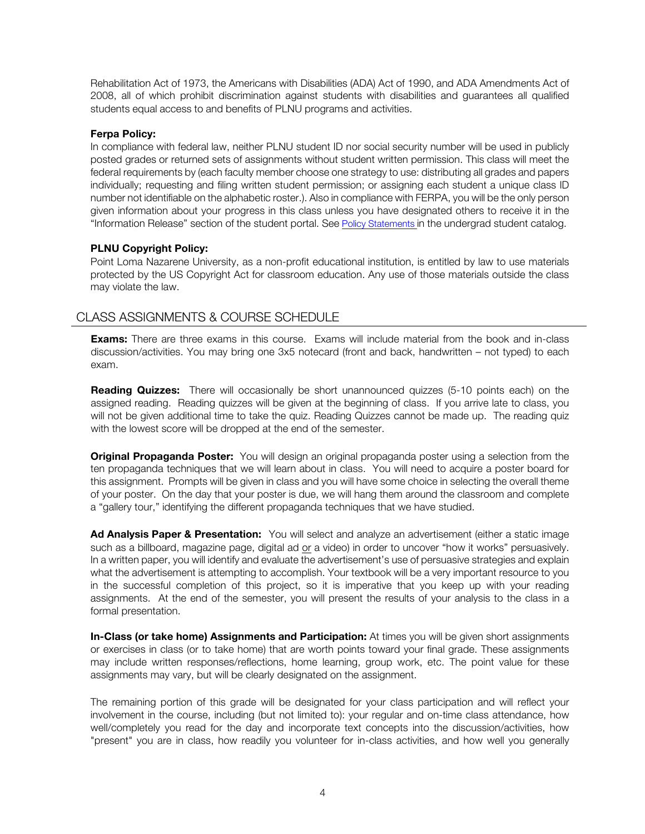Rehabilitation Act of 1973, the Americans with Disabilities (ADA) Act of 1990, and ADA Amendments Act of 2008, all of which prohibit discrimination against students with disabilities and guarantees all qualified students equal access to and benefits of PLNU programs and activities.

#### **Ferpa Policy:**

In compliance with federal law, neither PLNU student ID nor social security number will be used in publicly posted grades or returned sets of assignments without student written permission. This class will meet the federal requirements by (each faculty member choose one strategy to use: distributing all grades and papers individually; requesting and filing written student permission; or assigning each student a unique class ID number not identifiable on the alphabetic roster.). Also in compliance with FERPA, you will be the only person given information about your progress in this class unless you have designated others to receive it in the "Information Release" section of the student portal. See Policy Statements in the undergrad student catalog.

## **PLNU Copyright Policy:**

Point Loma Nazarene University, as a non-profit educational institution, is entitled by law to use materials protected by the US Copyright Act for classroom education. Any use of those materials outside the class may violate the law.

# CLASS ASSIGNMENTS & COURSE SCHEDULE

**Exams:** There are three exams in this course. Exams will include material from the book and in-class discussion/activities. You may bring one 3x5 notecard (front and back, handwritten – not typed) to each exam.

**Reading Quizzes:** There will occasionally be short unannounced quizzes (5-10 points each) on the assigned reading. Reading quizzes will be given at the beginning of class. If you arrive late to class, you will not be given additional time to take the quiz. Reading Quizzes cannot be made up. The reading quiz with the lowest score will be dropped at the end of the semester.

**Original Propaganda Poster:** You will design an original propaganda poster using a selection from the ten propaganda techniques that we will learn about in class. You will need to acquire a poster board for this assignment. Prompts will be given in class and you will have some choice in selecting the overall theme of your poster. On the day that your poster is due, we will hang them around the classroom and complete a "gallery tour," identifying the different propaganda techniques that we have studied.

**Ad Analysis Paper & Presentation:** You will select and analyze an advertisement (either a static image such as a billboard, magazine page, digital ad or a video) in order to uncover "how it works" persuasively. In a written paper, you will identify and evaluate the advertisement's use of persuasive strategies and explain what the advertisement is attempting to accomplish. Your textbook will be a very important resource to you in the successful completion of this project, so it is imperative that you keep up with your reading assignments. At the end of the semester, you will present the results of your analysis to the class in a formal presentation.

**In-Class (or take home) Assignments and Participation:** At times you will be given short assignments or exercises in class (or to take home) that are worth points toward your final grade. These assignments may include written responses/reflections, home learning, group work, etc. The point value for these assignments may vary, but will be clearly designated on the assignment.

The remaining portion of this grade will be designated for your class participation and will reflect your involvement in the course, including (but not limited to): your regular and on-time class attendance, how well/completely you read for the day and incorporate text concepts into the discussion/activities, how "present" you are in class, how readily you volunteer for in-class activities, and how well you generally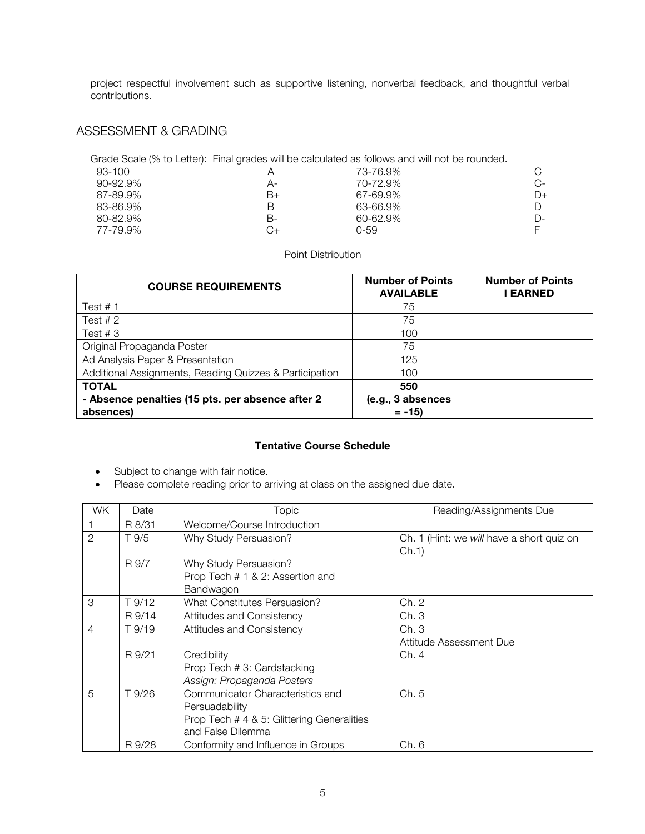project respectful involvement such as supportive listening, nonverbal feedback, and thoughtful verbal contributions.

# ASSESSMENT & GRADING

|               |    | Grade Scale (% to Letter): Final grades will be calculated as follows and will not be rounded. |      |
|---------------|----|------------------------------------------------------------------------------------------------|------|
| 93-100        |    | 73-76.9%                                                                                       | C.   |
| $90 - 92.9\%$ | A- | 70-72.9%                                                                                       | $C-$ |
| 87-89.9%      | B+ | 67-69.9%                                                                                       | $D+$ |
| 83-86.9%      | В  | 63-66.9%                                                                                       | D    |
| 80-82.9%      | В- | 60-62.9%                                                                                       | D-   |
| 77-79.9%      |    | 0-59                                                                                           |      |

### Point Distribution

| <b>COURSE REQUIREMENTS</b>                                    | <b>Number of Points</b><br><b>AVAILABLE</b> | <b>Number of Points</b><br>I EARNED |
|---------------------------------------------------------------|---------------------------------------------|-------------------------------------|
| Test $# 1$                                                    | 75                                          |                                     |
| Test $# 2$                                                    | 75                                          |                                     |
| Test # $3$                                                    | 100                                         |                                     |
| Original Propaganda Poster                                    | 75                                          |                                     |
| Ad Analysis Paper & Presentation                              | 125                                         |                                     |
| Additional Assignments, Reading Quizzes & Participation       | 100                                         |                                     |
| <b>TOTAL</b>                                                  | 550                                         |                                     |
| - Absence penalties (15 pts. per absence after 2<br>absences) | (e.g., 3 absences<br>$= -15$                |                                     |

## **Tentative Course Schedule**

- Subject to change with fair notice.
- Please complete reading prior to arriving at class on the assigned due date.

| WK.            | Date   | Topic                                                                                                                 | Reading/Assignments Due                            |
|----------------|--------|-----------------------------------------------------------------------------------------------------------------------|----------------------------------------------------|
|                | R 8/31 | Welcome/Course Introduction                                                                                           |                                                    |
| $\mathcal{P}$  | T.9/5  | Why Study Persuasion?                                                                                                 | Ch. 1 (Hint: we will have a short quiz on<br>Ch.1) |
|                | R 9/7  | Why Study Persuasion?<br>Prop Tech # 1 & 2: Assertion and<br>Bandwagon                                                |                                                    |
| 3              | T 9/12 | <b>What Constitutes Persuasion?</b>                                                                                   | Ch. 2                                              |
|                | R 9/14 | Attitudes and Consistency                                                                                             | Ch. 3                                              |
| $\overline{4}$ | T 9/19 | Attitudes and Consistency                                                                                             | Ch.3<br>Attitude Assessment Due                    |
|                | R 9/21 | Credibility<br>Prop Tech # 3: Cardstacking<br>Assign: Propaganda Posters                                              | Ch. 4                                              |
| 5              | T 9/26 | Communicator Characteristics and<br>Persuadability<br>Prop Tech # 4 & 5: Glittering Generalities<br>and False Dilemma | Ch. 5                                              |
|                | R 9/28 | Conformity and Influence in Groups                                                                                    | Ch. 6                                              |